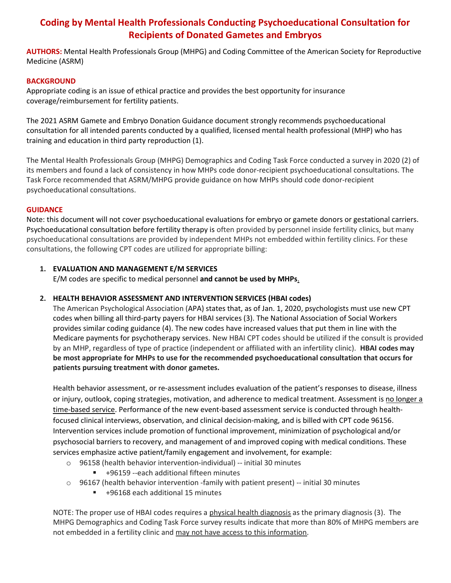# Coding by Mental Health Professionals Conducting Psychoeducational Consultation for Recipients of Donated Gametes and Embryos

AUTHORS: Mental Health Professionals Group (MHPG) and Coding Committee of the American Society for Reproductive Medicine (ASRM)

### BACKGROUND

Appropriate coding is an issue of ethical practice and provides the best opportunity for insurance coverage/reimbursement for fertility patients.

The 2021 ASRM Gamete and Embryo Donation Guidance document strongly recommends psychoeducational consultation for all intended parents conducted by a qualified, licensed mental health professional (MHP) who has training and education in third party reproduction (1).

The Mental Health Professionals Group (MHPG) Demographics and Coding Task Force conducted a survey in 2020 (2) of its members and found a lack of consistency in how MHPs code donor-recipient psychoeducational consultations. The Task Force recommended that ASRM/MHPG provide guidance on how MHPs should code donor-recipient psychoeducational consultations.

#### **GUIDANCE**

Note: this document will not cover psychoeducational evaluations for embryo or gamete donors or gestational carriers. Psychoeducational consultation before fertility therapy is often provided by personnel inside fertility clinics, but many psychoeducational consultations are provided by independent MHPs not embedded within fertility clinics. For these consultations, the following CPT codes are utilized for appropriate billing:

### 1. EVALUATION AND MANAGEMENT E/M SERVICES

E/M codes are specific to medical personnel and cannot be used by MHPs.

# 2. HEALTH BEHAVIOR ASSESSMENT AND INTERVENTION SERVICES (HBAI codes)

The American Psychological Association (APA) states that, as of Jan. 1, 2020, psychologists must use new CPT codes when billing all third-party payers for HBAI services (3). The National Association of Social Workers provides similar coding guidance (4). The new codes have increased values that put them in line with the Medicare payments for psychotherapy services. New HBAI CPT codes should be utilized if the consult is provided by an MHP, regardless of type of practice (independent or affiliated with an infertility clinic). HBAI codes may be most appropriate for MHPs to use for the recommended psychoeducational consultation that occurs for patients pursuing treatment with donor gametes.

Health behavior assessment, or re-assessment includes evaluation of the patient's responses to disease, illness or injury, outlook, coping strategies, motivation, and adherence to medical treatment. Assessment is no longer a time-based service. Performance of the new event-based assessment service is conducted through healthfocused clinical interviews, observation, and clinical decision-making, and is billed with CPT code 96156. Intervention services include promotion of functional improvement, minimization of psychological and/or psychosocial barriers to recovery, and management of and improved coping with medical conditions. These services emphasize active patient/family engagement and involvement, for example:

- o 96158 (health behavior intervention-individual) -- initial 30 minutes
	- +96159 --each additional fifteen minutes
- $\circ$  96167 (health behavior intervention -family with patient present) -- initial 30 minutes
	- +96168 each additional 15 minutes

NOTE: The proper use of HBAI codes requires a physical health diagnosis as the primary diagnosis (3). The MHPG Demographics and Coding Task Force survey results indicate that more than 80% of MHPG members are not embedded in a fertility clinic and may not have access to this information.